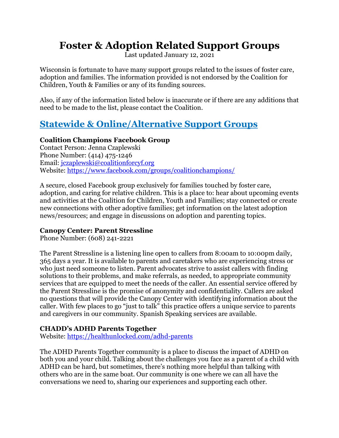# **Foster & Adoption Related Support Groups**

Last updated January 12, 2021

Wisconsin is fortunate to have many support groups related to the issues of foster care, adoption and families. The information provided is not endorsed by the Coalition for Children, Youth & Families or any of its funding sources.

Also, if any of the information listed below is inaccurate or if there are any additions that need to be made to the list, please contact the Coalition.

# **Statewide & Online/Alternative Support Groups**

### **Coalition Champions Facebook Group**

Contact Person: Jenna Czaplewski Phone Number: (414) 475-1246 Email: jczaplewski@coalitionforcyf.org Website: https://www.facebook.com/groups/coalitionchampions/

A secure, closed Facebook group exclusively for families touched by foster care, adoption, and caring for relative children. This is a place to: hear about upcoming events and activities at the Coalition for Children, Youth and Families; stay connected or create new connections with other adoptive families; get information on the latest adoption news/resources; and engage in discussions on adoption and parenting topics.

### **Canopy Center: Parent Stressline**

Phone Number: (608) 241-2221

The Parent Stressline is a listening line open to callers from 8:00am to 10:00pm daily, 365 days a year. It is available to parents and caretakers who are experiencing stress or who just need someone to listen. Parent advocates strive to assist callers with finding solutions to their problems, and make referrals, as needed, to appropriate community services that are equipped to meet the needs of the caller. An essential service offered by the Parent Stressline is the promise of anonymity and confidentiality. Callers are asked no questions that will provide the Canopy Center with identifying information about the caller. With few places to go "just to talk" this practice offers a unique service to parents and caregivers in our community. Spanish Speaking services are available.

### **CHADD's ADHD Parents Together**

Website: <https://healthunlocked.com/adhd-parents>

The ADHD Parents Together community is a place to discuss the impact of ADHD on both you and your child. Talking about the challenges you face as a parent of a child with ADHD can be hard, but sometimes, there's nothing more helpful than talking with others who are in the same boat. Our community is one where we can all have the conversations we need to, sharing our experiences and supporting each other.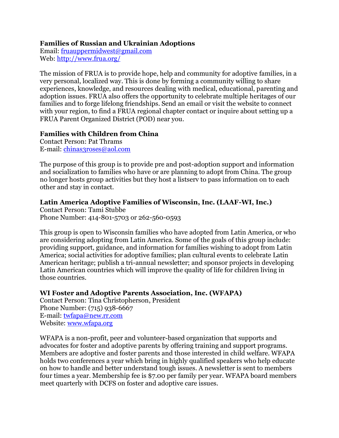### **Families of Russian and Ukrainian Adoptions**

Email: [fruauppermidwest@gmail.com](mailto:fruauppermidwest@gmail.com) Web:<http://www.frua.org/>

The mission of FRUA is to provide hope, help and community for adoptive families, in a very personal, localized way. This is done by forming a community willing to share experiences, knowledge, and resources dealing with medical, educational, parenting and adoption issues. FRUA also offers the opportunity to celebrate multiple heritages of our families and to forge lifelong friendships. Send an email or visit the website to connect with your region, to find a FRUA regional chapter contact or inquire about setting up a FRUA Parent Organized District (POD) near you.

### **Families with Children from China**

Contact Person: Pat Thrams E-mail: [chinas3roses@aol.com](mailto:CHINAS3ROSES@AOL.COM)

The purpose of this group is to provide pre and post-adoption support and information and socialization to families who have or are planning to adopt from China. The group no longer hosts group activities but they host a listserv to pass information on to each other and stay in contact.

### **Latin America Adoptive Families of Wisconsin, Inc. (LAAF-WI, Inc.)**

Contact Person: Tami Stubbe Phone Number: 414-801-5703 or 262-560-0593

This group is open to Wisconsin families who have adopted from Latin America, or who are considering adopting from Latin America. Some of the goals of this group include: providing support, guidance, and information for families wishing to adopt from Latin America; social activities for adoptive families; plan cultural events to celebrate Latin American heritage; publish a tri-annual newsletter; and sponsor projects in developing Latin American countries which will improve the quality of life for children living in those countries.

### **WI Foster and Adoptive Parents Association, Inc. (WFAPA)**

Contact Person: Tina Christopherson, President Phone Number: (715) 938-6667 E-mail: [twfapa@new.rr.com](mailto:twfapa@new.rr.com) Website: [www.wfapa.org](http://www.wfapa.org/)

WFAPA is a non-profit, peer and volunteer-based organization that supports and advocates for foster and adoptive parents by offering training and support programs. Members are adoptive and foster parents and those interested in child welfare. WFAPA holds two conferences a year which bring in highly qualified speakers who help educate on how to handle and better understand tough issues. A newsletter is sent to members four times a year. Membership fee is \$7.00 per family per year. WFAPA board members meet quarterly with DCFS on foster and adoptive care issues.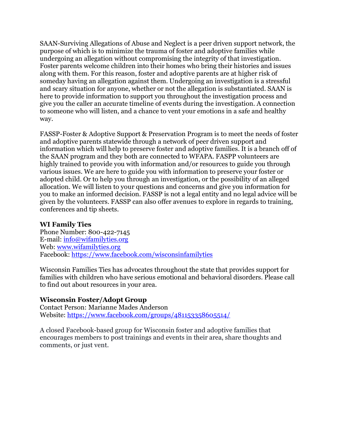SAAN-Surviving Allegations of Abuse and Neglect is a peer driven support network, the purpose of which is to minimize the trauma of foster and adoptive families while undergoing an allegation without compromising the integrity of that investigation. Foster parents welcome children into their homes who bring their histories and issues along with them. For this reason, foster and adoptive parents are at higher risk of someday having an allegation against them. Undergoing an investigation is a stressful and scary situation for anyone, whether or not the allegation is substantiated. SAAN is here to provide information to support you throughout the investigation process and give you the caller an accurate timeline of events during the investigation. A connection to someone who will listen, and a chance to vent your emotions in a safe and healthy way.

FASSP-Foster & Adoptive Support & Preservation Program is to meet the needs of foster and adoptive parents statewide through a network of peer driven support and information which will help to preserve foster and adoptive families. It is a branch off of the SAAN program and they both are connected to WFAPA. FASPP volunteers are highly trained to provide you with information and/or resources to guide you through various issues. We are here to guide you with information to preserve your foster or adopted child. Or to help you through an investigation, or the possibility of an alleged allocation. We will listen to your questions and concerns and give you information for you to make an informed decision. FASSP is not a legal entity and no legal advice will be given by the volunteers. FASSP can also offer avenues to explore in regards to training, conferences and tip sheets.

### **WI Family Ties**

Phone Number: 800-422-7145 E-mail: [info@wifamilyties.org](mailto:info@wifamilyties.org) Web: [www.wifamilyties.org](http://www.wifamilyties.org/) Facebook:<https://www.facebook.com/wisconsinfamilyties>

Wisconsin Families Ties has advocates throughout the state that provides support for families with children who have serious emotional and behavioral disorders. Please call to find out about resources in your area.

### **Wisconsin Foster/Adopt Group**

Contact Person: [Marianne Mades Anderson](https://www.facebook.com/marianne.madesanderson?fref=nf) Website:<https://www.facebook.com/groups/481153358605514/>

A closed Facebook-based group for Wisconsin foster and adoptive families that encourages members to post trainings and events in their area, share thoughts and comments, or just vent.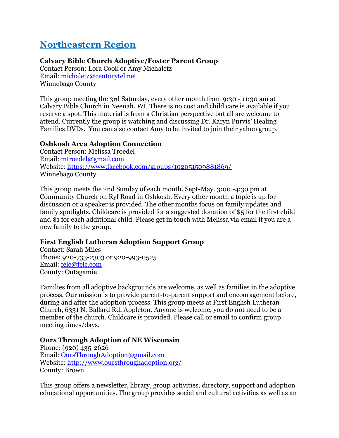# **Northeastern Region**

# **Calvary Bible Church Adoptive/Foster Parent Group**

Contact Person: Lora Cook or Amy Michaletz Email: [michaletz@centurytel.net](mailto:michaletz@centurytel.net) Winnebago County

This group meeting the 3rd Saturday, every other month from 9:30 - 11:30 am at Calvary Bible Church in Neenah, WI. There is no cost and child care is available if you reserve a spot. This material is from a Christian perspective but all are welcome to attend. Currently the group is watching and discussing Dr. Karyn Purvis' Healing Families DVDs. You can also contact Amy to be invited to join their yahoo group.

## **Oshkosh Area Adoption Connection**

Contact Person: Melissa Troedel Email: [mtroedel@gmail.com](mailto:mtroedel@gmail.com) Website: <https://www.facebook.com/groups/102051509881869/> Winnebago County

This group meets the 2nd Sunday of each month, Sept-May. 3:00 -4:30 pm at Community Church on Ryf Road in Oshkosh. Every other month a topic is up for discussion or a speaker is provided. The other months focus on family updates and family spotlights. Childcare is provided for a suggested donation of \$5 for the first child and \$1 for each additional child. Please get in touch with Melissa via email if you are a new family to the group.

# **First English Lutheran Adoption Support Group**

Contact: Sarah Miles Phone: 920-733-2303 or 920-993-0525 Email: [felc@felc.com](mailto:felc@felc.com) County: Outagamie

Families from all adoptive backgrounds are welcome, as well as families in the adoptive process. Our mission is to provide parent-to-parent support and encouragement before, during and after the adoption process. This group meets at First English Lutheran Church, 6331 N. Ballard Rd, Appleton. Anyone is welcome, you do not need to be a member of the church. Childcare is provided. Please call or email to confirm group meeting times/days.

### **Ours Through Adoption of NE Wisconsin**

Phone: (920) 435-2626 Email: [OursThroughAdoption@gmail.com](mailto:OursThroughAdoption@gmail.com) Website:<http://www.oursthroughadoption.org/> County: Brown

This group offers a newsletter, library, group activities, directory, support and adoption educational opportunities. The group provides social and cultural activities as well as an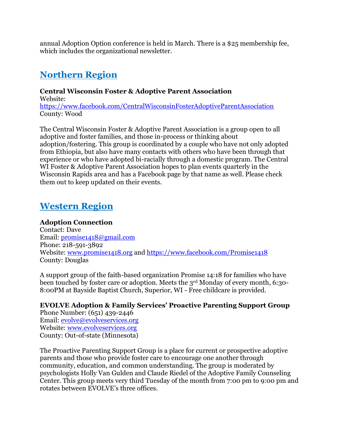annual Adoption Option conference is held in March. There is a \$25 membership fee, which includes the organizational newsletter.

# **Northern Region**

# **Central Wisconsin Foster & Adoptive Parent Association**

Website: <https://www.facebook.com/CentralWisconsinFosterAdoptiveParentAssociation> County: Wood

The Central Wisconsin Foster & Adoptive Parent Association is a group open to all adoptive and foster families, and those in-process or thinking about adoption/fostering. This group is coordinated by a couple who have not only adopted from Ethiopia, but also have many contacts with others who have been through that experience or who have adopted bi-racially through a domestic program. The Central WI Foster & Adoptive Parent Association hopes to plan events quarterly in the Wisconsin Rapids area and has a Facebook page by that name as well. Please check them out to keep updated on their events.

# **Western Region**

### **Adoption Connection**

Contact: Dave Email: [promise1418@gmail.com](mailto:promise1418@gmail.com) Phone: 218-591-3892 Website: [www.promise1418.org](http://www.promise1418.org/) and<https://www.facebook.com/Promise1418> County: Douglas

A support group of the faith-based organization Promise 14:18 for families who have been touched by foster care or adoption. Meets the 3<sup>rd</sup> Monday of every month, 6:30-8:00PM at Bayside Baptist Church, Superior, WI - Free childcare is provided.

# **EVOLVE Adoption & Family Services' Proactive Parenting Support Group**

Phone Number: (651) 439-2446 Email: [evolve@evolveservices.org](mailto:evolve@evolveservices.org) Website: [www.evolveservices.org](http://www.evolveservices.org/) County: Out-of-state (Minnesota)

The Proactive Parenting Support Group is a place for current or prospective adoptive parents and those who provide foster care to encourage one another through community, education, and common understanding. The group is moderated by psychologists Holly Van Gulden and Claude Riedel of the Adoptive Family Counseling Center. This group meets very third Tuesday of the month from 7:00 pm to 9:00 pm and rotates between EVOLVE's three offices.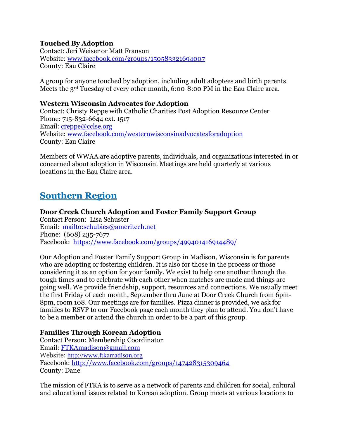### **Touched By Adoption**

Contact: Jeri Weiser or Matt Franson Website: [www.facebook.com/groups/150583321694007](http://www.facebook.com/groups/150583321694007) County: Eau Claire

A group for anyone touched by adoption, including adult adoptees and birth parents. Meets the 3rd Tuesday of every other month, 6:00-8:00 PM in the Eau Claire area.

### **Western Wisconsin Advocates for Adoption**

Contact: Christy Reppe with Catholic Charities Post Adoption Resource Center Phone: 715-832-6644 ext. 1517 Email: [creppe@cclse.org](mailto:creppe@cclse.org) Website: [www.facebook.com/westernwisconsinadvocatesforadoption](http://www.facebook.com/westernwisconsinadvocatesforadoption) County: Eau Claire

Members of WWAA are adoptive parents, individuals, and organizations interested in or concerned about adoption in Wisconsin. Meetings are held quarterly at various locations in the Eau Claire area.

# **Southern Region**

# **Door Creek Church Adoption and Foster Family Support Group**

Contact Person: Lisa Schuster Email: <mailto:schubies@ameritech.net> Phone: (608) 235-7677 Facebook: <https://www.facebook.com/groups/499401416914489/>

Our Adoption and Foster Family Support Group in Madison, Wisconsin is for parents who are adopting or fostering children. It is also for those in the process or those considering it as an option for your family. We exist to help one another through the tough times and to celebrate with each other when matches are made and things are going well. We provide friendship, support, resources and connections. We usually meet the first Friday of each month, September thru June at Door Creek Church from 6pm-8pm, room 108. Our meetings are for families. Pizza dinner is provided, we ask for families to RSVP to our Facebook page each month they plan to attend. You don't have to be a member or attend the church in order to be a part of this group.

### **Families Through Korean Adoption**

Contact Person: Membership Coordinator Email: [FTKAmadison@gmail.com](mailto:FTKAmadison@gmail.com) Website: [http://www.ftkamadison.org](http://www.ftkamadison.org/) Facebook:<http://www.facebook.com/groups/147428315309464> County: Dane

The mission of FTKA is to serve as a network of parents and children for social, cultural and educational issues related to Korean adoption. Group meets at various locations to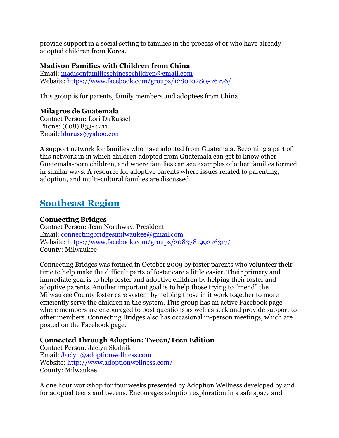provide support in a social setting to families in the process of or who have already adopted children from Korea.

### **Madison Families with Children from China**

Email: [madisonfamilieschinesechildren@gmail.com](mailto:madisonfamilieschinesechildren@gmail.com) Website:<https://www.facebook.com/groups/128010280576776/>

This group is for parents, family members and adoptees from China.

## **Milagros de Guatemala**

Contact Person: Lori DuRussel Phone: (608) 833-4211 Email: [lduruss@yahoo.com](mailto:lduruss@yahoo.com)

A support network for families who have adopted from Guatemala. Becoming a part of this network in in which children adopted from Guatemala can get to know other Guatemala-born children, and where families can see examples of other families formed in similar ways. A resource for adoptive parents where issues related to parenting, adoption, and multi-cultural families are discussed.

# **Southeast Region**

### **Connecting Bridges**

Contact Person: Jean Northway, President Email: [connectingbridgesmilwaukee@gmail.com](mailto:connectingbridgesmilwaukee@gmail.com) Website:<https://www.facebook.com/groups/208378199276317/> County: Milwaukee

Connecting Bridges was formed in October 2009 by foster parents who volunteer their time to help make the difficult parts of foster care a little easier. Their primary and immediate goal is to help foster and adoptive children by helping their foster and adoptive parents. Another important goal is to help those trying to "mend" the Milwaukee County foster care system by helping those in it work together to more efficiently serve the children in the system. This group has an active Facebook page where members are encouraged to post questions as well as seek and provide support to other members. Connecting Bridges also has occasional in-person meetings, which are posted on the Facebook page.

### **Connected Through Adoption: Tween/Teen Edition**

Contact Person: Jaclyn Skalnik Email: [Jaclyn@adoptionwellness.com](mailto:Jaclyn@adoptionwellness.com) Website:<http://www.adoptionwellness.com/> County: Milwaukee

A one hour workshop for four weeks presented by Adoption Wellness developed by and for adopted teens and tweens. Encourages adoption exploration in a safe space and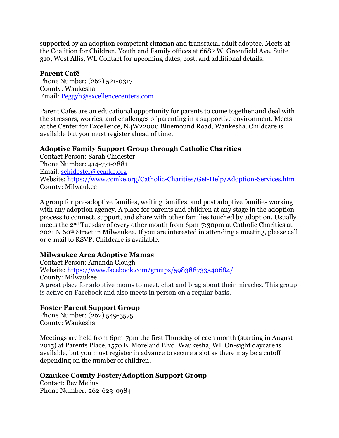supported by an adoption competent clinician and transracial adult adoptee. Meets at the Coalition for Children, Youth and Family offices at 6682 W. Greenfield Ave. Suite 310, West Allis, WI. Contact for upcoming dates, cost, and additional details.

### **Parent Café**

Phone Number: (262) 521-0317 County: Waukesha Email: [Peggyh@excellencecenters.com](mailto:Peggyh@excellencecenters.com)

Parent Cafes are an educational opportunity for parents to come together and deal with the stressors, worries, and challenges of parenting in a supportive environment. Meets at the Center for Excellence, N4W22000 Bluemound Road, Waukesha. Childcare is available but you must register ahead of time.

## **Adoptive Family Support Group through Catholic Charities**

Contact Person: Sarah Chidester Phone Number: 414-771-2881 Email: [schidester@ccmke.org](mailto:schidester@ccmke.org) Website:<https://www.ccmke.org/Catholic-Charities/Get-Help/Adoption-Services.htm> County: Milwaukee

A group for pre-adoptive families, waiting families, and post adoptive families working with any adoption agency. A place for parents and children at any stage in the adoption process to connect, support, and share with other families touched by adoption. Usually meets the 2nd Tuesday of every other month from 6pm-7:30pm at Catholic Charities at 2021 N 60th Street in Milwaukee. If you are interested in attending a meeting, please call or e-mail to RSVP. Childcare is available.

### **Milwaukee Area Adoptive Mamas**

Contact Person: Amanda Clough Website:<https://www.facebook.com/groups/598388733540684/> County: Milwaukee A great place for adoptive moms to meet, chat and brag about their miracles. This group is active on Facebook and also meets in person on a regular basis.

### **Foster Parent Support Group**

Phone Number: (262) 549-5575 County: Waukesha

Meetings are held from 6pm-7pm the first Thursday of each month (starting in August 2015) at Parents Place, 1570 E. Moreland Blvd. Waukesha, WI. On-sight daycare is available, but you must register in advance to secure a slot as there may be a cutoff depending on the number of children.

### **Ozaukee County Foster/Adoption Support Group**

Contact: Bev Melius Phone Number: 262-623-0984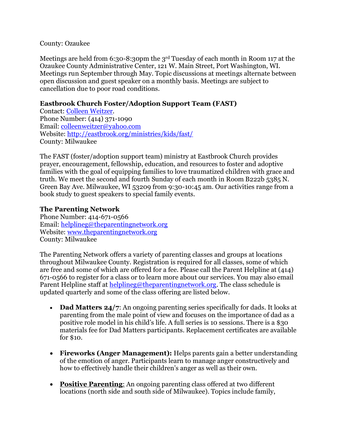### County: Ozaukee

Meetings are held from 6:30-8:30pm the 3<sup>rd</sup> Tuesday of each month in Room 117 at the Ozaukee County Administrative Center, 121 W. Main Street, Port Washington, WI. Meetings run September through May. Topic discussions at meetings alternate between open discussion and guest speaker on a monthly basis. Meetings are subject to cancellation due to poor road conditions.

### **Eastbrook Church Foster/Adoption Support Team (FAST)**

Contact: [Colleen Weitzer.](http://www.eastbrookchurch.org/10809/staff/staff_id/348530/Colleen-Weitzer) Phone Number: (414) 371-1090 Email: [colleenweitzer@yahoo.com](mailto:colleenweitzer@yahoo.com) Website: <http://eastbrook.org/ministries/kids/fast/> County: Milwaukee

The FAST (foster/adoption support team) ministry at Eastbrook Church provides prayer, encouragement, fellowship, education, and resources to foster and adoptive families with the goal of equipping families to love traumatized children with grace and truth. We meet the second and fourth Sunday of each month in Room B222b 5385 N. Green Bay Ave. Milwaukee, WI 53209 from 9:30-10:45 am. Our activities range from a book study to guest speakers to special family events.

### **The Parenting Network**

Phone Number: 414-671-0566 Email: [helplineg@theparentingnetwork.org](mailto:helplinegroup@theparentingnetwork.org) Website: [www.theparentingnetwork.org](http://www.theparentingnetwork.org/) County: Milwaukee

The Parenting Network offers a variety of parenting classes and groups at locations throughout Milwaukee County. Registration is required for all classes, some of which are free and some of which are offered for a fee. Please call the Parent Helpline at (414) 671-0566 to register for a class or to learn more about our services. You may also email Parent Helpline staff at [helplineg@theparentingnetwork.org.](mailto:helplineg@theparentingnetwork.org) The class schedule is updated quarterly and some of the class offering are listed below.

- **Dad Matters 24/7:** An ongoing parenting series specifically for dads. It looks at parenting from the male point of view and focuses on the importance of dad as a positive role model in his child's life. A full series is 10 sessions. There is a \$30 materials fee for Dad Matters participants. Replacement certificates are available for \$10.
- **Fireworks (Anger Management):** Helps parents gain a better understanding of the emotion of anger. Participants learn to manage anger constructively and how to effectively handle their children's anger as well as their own.
- **Positive Parenting**: An ongoing parenting class offered at two different locations (north side and south side of Milwaukee). Topics include family,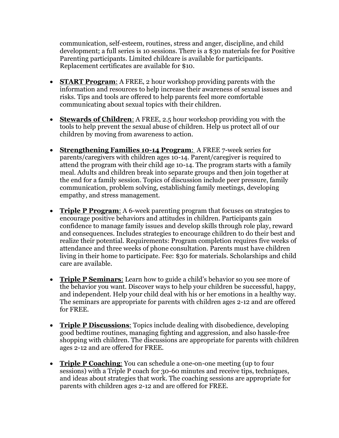communication, self-esteem, routines, stress and anger, discipline, and child development; a full series is 10 sessions. There is a \$30 materials fee for Positive Parenting participants. Limited childcare is available for participants. Replacement certificates are available for \$10.

- **START Program**: A FREE, 2 hour workshop providing parents with the information and resources to help increase their awareness of sexual issues and risks. Tips and tools are offered to help parents feel more comfortable communicating about sexual topics with their children.
- **Stewards of Children**: A FREE, 2.5 hour workshop providing you with the tools to help prevent the sexual abuse of children. Help us protect all of our children by moving from awareness to action.
- **Strengthening Families 10-14 Program**: A FREE 7-week series for parents/caregivers with children ages 10-14. Parent/caregiver is required to attend the program with their child age 10-14. The program starts with a family meal. Adults and children break into separate groups and then join together at the end for a family session. Topics of discussion include peer pressure, family communication, problem solving, establishing family meetings, developing empathy, and stress management.
- **Triple P Program**: A 6-week parenting program that focuses on strategies to encourage positive behaviors and attitudes in children. Participants gain confidence to manage family issues and develop skills through role play, reward and consequences. Includes strategies to encourage children to do their best and realize their potential. Requirements: Program completion requires five weeks of attendance and three weeks of phone consultation. Parents must have children living in their home to participate. Fee: \$30 for materials. Scholarships and child care are available.
- **Triple P Seminars**: Learn how to guide a child's behavior so you see more of the behavior you want. Discover ways to help your children be successful, happy, and independent. Help your child deal with his or her emotions in a healthy way. The seminars are appropriate for parents with children ages 2-12 and are offered for FREE.
- **Triple P Discussions**: Topics include dealing with disobedience, developing good bedtime routines, managing fighting and aggression, and also hassle-free shopping with children. The discussions are appropriate for parents with children ages 2-12 and are offered for FREE.
- **Triple P Coaching**: You can schedule a one-on-one meeting (up to four sessions) with a Triple P coach for 30-60 minutes and receive tips, techniques, and ideas about strategies that work. The coaching sessions are appropriate for parents with children ages 2-12 and are offered for FREE.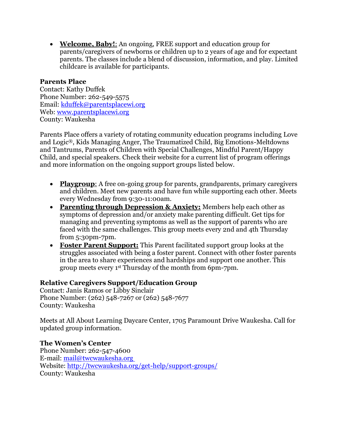**Welcome, Baby!**: An ongoing, FREE support and education group for parents/caregivers of newborns or children up to 2 years of age and for expectant parents. The classes include a blend of discussion, information, and play. Limited childcare is available for participants.

### **Parents Place**

Contact: Kathy Duffek Phone Number: 262-549-5575 Email: [kduffek@parentsplacewi.org](mailto:kduffek@parentsplacewi.org) Web: [www.parentsplacewi.org](http://www.parentsplacewi.org/) County: Waukesha

Parents Place offers a variety of rotating community education programs including Love and Logic®, Kids Managing Anger, The Traumatized Child, Big Emotions-Meltdowns and Tantrums, Parents of Children with Special Challenges, Mindful Parent/Happy Child, and special speakers. Check their website for a current list of program offerings and more information on the ongoing support groups listed below.

- **Playgroup**: A free on-going group for parents, grandparents, primary caregivers and children. Meet new parents and have fun while supporting each other. Meets every Wednesday from 9:30-11:00am.
- **Parenting through Depression & Anxiety:** Members help each other as symptoms of depression and/or anxiety make parenting difficult. Get tips for managing and preventing symptoms as well as the support of parents who are faced with the same challenges. This group meets every 2nd and 4th Thursday from 5:30pm-7pm.
- **Foster Parent Support:** This Parent facilitated support group looks at the struggles associated with being a foster parent. Connect with other foster parents in the area to share experiences and hardships and support one another. This group meets every 1st Thursday of the month from 6pm-7pm.

### **Relative Caregivers Support/Education Group**

Contact: Janis Ramos or Libby Sinclair Phone Number: (262) 548-7267 or (262) 548-7677 County: Waukesha

Meets at All About Learning Daycare Center, 1705 Paramount Drive Waukesha. Call for updated group information.

### **The Women's Center**

Phone Number: 262-547-4600 E-mail: [mail@twcwaukesha.org](mailto:mail@twcwaukesha.org) Website:<http://twcwaukesha.org/get-help/support-groups/> County: Waukesha